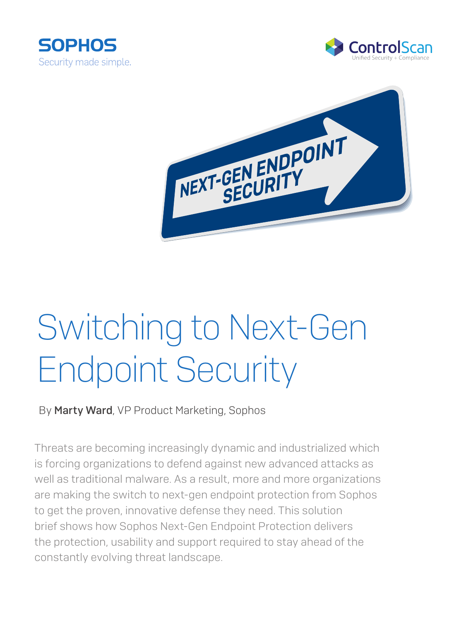





# Switching to Next-Gen Endpoint Security

By Marty Ward, VP Product Marketing, Sophos

Threats are becoming increasingly dynamic and industrialized which is forcing organizations to defend against new advanced attacks as well as traditional malware. As a result, more and more organizations are making the switch to next-gen endpoint protection from Sophos to get the proven, innovative defense they need. This solution brief shows how Sophos Next-Gen Endpoint Protection delivers the protection, usability and support required to stay ahead of the constantly evolving threat landscape.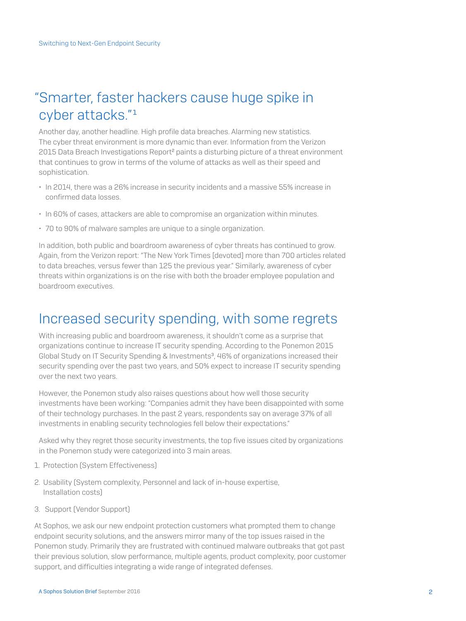# "Smarter, faster hackers cause huge spike in cyber attacks."<sup>1</sup>

Another day, another headline. High profile data breaches. Alarming new statistics. The cyber threat environment is more dynamic than ever. Information from the Verizon 2015 Data Breach Investigations Report<sup>2</sup> paints a disturbing picture of a threat environment that continues to grow in terms of the volume of attacks as well as their speed and sophistication.

- In 2014, there was a 26% increase in security incidents and a massive 55% increase in confirmed data losses.
- In 60% of cases, attackers are able to compromise an organization within minutes.
- 70 to 90% of malware samples are unique to a single organization.

In addition, both public and boardroom awareness of cyber threats has continued to grow. Again, from the Verizon report: "The New York Times [devoted] more than 700 articles related to data breaches, versus fewer than 125 the previous year." Similarly, awareness of cyber threats within organizations is on the rise with both the broader employee population and boardroom executives.

## Increased security spending, with some regrets

With increasing public and boardroom awareness, it shouldn't come as a surprise that organizations continue to increase IT security spending. According to the Ponemon 2015 Global Study on IT Security Spending & Investments<sup>3</sup>, 46% of organizations increased their security spending over the past two years, and 50% expect to increase IT security spending over the next two years.

However, the Ponemon study also raises questions about how well those security investments have been working: "Companies admit they have been disappointed with some of their technology purchases. In the past 2 years, respondents say on average 37% of all investments in enabling security technologies fell below their expectations."

Asked why they regret those security investments, the top five issues cited by organizations in the Ponemon study were categorized into 3 main areas.

- 1. Protection (System Effectiveness)
- 2. Usability (System complexity, Personnel and lack of in-house expertise, Installation costs)
- 3. Support (Vendor Support)

At Sophos, we ask our new endpoint protection customers what prompted them to change endpoint security solutions, and the answers mirror many of the top issues raised in the Ponemon study. Primarily they are frustrated with continued malware outbreaks that got past their previous solution, slow performance, multiple agents, product complexity, poor customer support, and difficulties integrating a wide range of integrated defenses.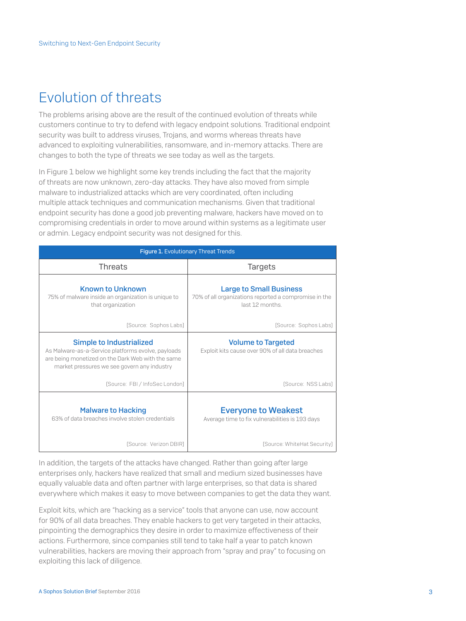# Evolution of threats

The problems arising above are the result of the continued evolution of threats while customers continue to try to defend with legacy endpoint solutions. Traditional endpoint security was built to address viruses, Trojans, and worms whereas threats have advanced to exploiting vulnerabilities, ransomware, and in-memory attacks. There are changes to both the type of threats we see today as well as the targets.

In Figure 1 below we highlight some key trends including the fact that the majority of threats are now unknown, zero-day attacks. They have also moved from simple malware to industrialized attacks which are very coordinated, often including multiple attack techniques and communication mechanisms. Given that traditional endpoint security has done a good job preventing malware, hackers have moved on to compromising credentials in order to move around within systems as a legitimate user or admin. Legacy endpoint security was not designed for this.

| Figure 1. Evolutionary Threat Trends                                                                                                                                               |                                                                                                           |  |  |
|------------------------------------------------------------------------------------------------------------------------------------------------------------------------------------|-----------------------------------------------------------------------------------------------------------|--|--|
| Threats                                                                                                                                                                            | <b>Targets</b>                                                                                            |  |  |
| <b>Known to Unknown</b><br>75% of malware inside an organization is unique to<br>that organization                                                                                 | <b>Large to Small Business</b><br>70% of all organizations reported a compromise in the<br>last 12 months |  |  |
| [Source: Sophos Labs]                                                                                                                                                              | [Source: Sophos Labs]                                                                                     |  |  |
| Simple to Industrialized<br>As Malware-as-a-Service platforms evolve, payloads<br>are being monetized on the Dark Web with the same<br>market pressures we see govern any industry | <b>Volume to Targeted</b><br>Exploit kits cause over 90% of all data breaches                             |  |  |
| (Source: FBI / InfoSec London)                                                                                                                                                     | [Source: NSS Labs]                                                                                        |  |  |
| <b>Malware to Hacking</b><br>63% of data breaches involve stolen credentials                                                                                                       | <b>Everyone to Weakest</b><br>Average time to fix vulnerabilities is 193 days                             |  |  |
| [Source: Verizon DBIR]                                                                                                                                                             | [Source: WhiteHat Security]                                                                               |  |  |

In addition, the targets of the attacks have changed. Rather than going after large enterprises only, hackers have realized that small and medium sized businesses have equally valuable data and often partner with large enterprises, so that data is shared everywhere which makes it easy to move between companies to get the data they want.

Exploit kits, which are "hacking as a service" tools that anyone can use, now account for 90% of all data breaches. They enable hackers to get very targeted in their attacks, pinpointing the demographics they desire in order to maximize effectiveness of their actions. Furthermore, since companies still tend to take half a year to patch known vulnerabilities, hackers are moving their approach from "spray and pray" to focusing on exploiting this lack of diligence.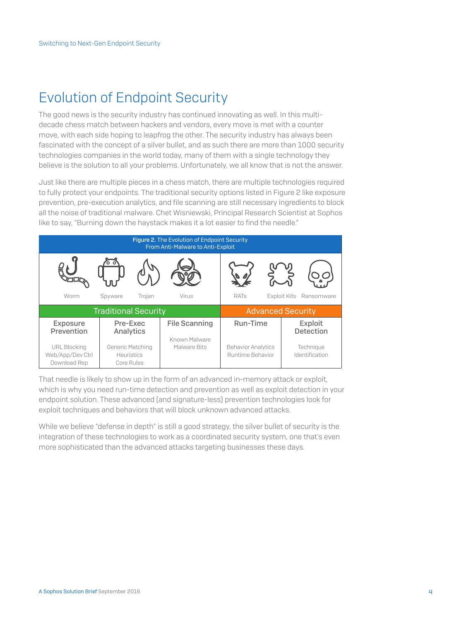# Evolution of Endpoint Security

The good news is the security industry has continued innovating as well. In this multidecade chess match between hackers and vendors, every move is met with a counter move, with each side hoping to leapfrog the other. The security industry has always been fascinated with the concept of a silver bullet, and as such there are more than 1000 security technologies companies in the world today, many of them with a single technology they believe is the solution to all your problems. Unfortunately, we all know that is not the answer.

Just like there are multiple pieces in a chess match, there are multiple technologies required to fully protect your endpoints. The traditional security options listed in Figure 2 like exposure prevention, pre-execution analytics, and file scanning are still necessary ingredients to block all the noise of traditional malware. Chet Wisniewski, Principal Research Scientist at Sophos like to say, "Burning down the haystack makes it a lot easier to find the needle."



That needle is likely to show up in the form of an advanced in-memory attack or exploit, which is why you need run-time detection and prevention as well as exploit detection in your endpoint solution. These advanced (and signature-less) prevention technologies look for exploit techniques and behaviors that will block unknown advanced attacks.

While we believe "defense in depth" is still a good strategy, the silver bullet of security is the integration of these technologies to work as a coordinated security system, one that's even more sophisticated than the advanced attacks targeting businesses these days.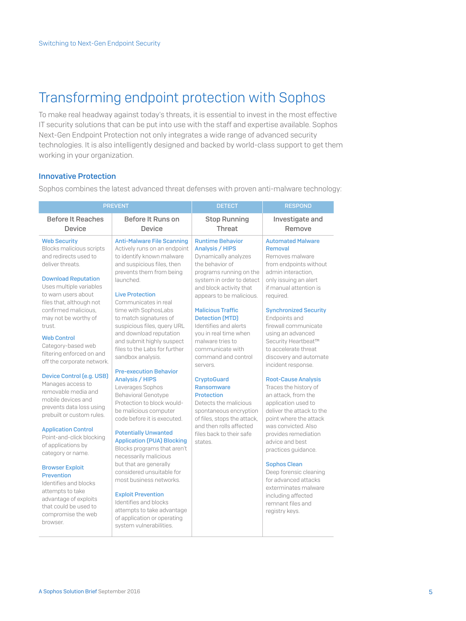# Transforming endpoint protection with Sophos

To make real headway against today's threats, it is essential to invest in the most effective IT security solutions that can be put into use with the staff and expertise available. Sophos Next-Gen Endpoint Protection not only integrates a wide range of advanced security technologies. It is also intelligently designed and backed by world-class support to get them working in your organization.

## Innovative Protection

Sophos combines the latest advanced threat defenses with proven anti-malware technology:

|                                                                                                                                                             | <b>PREVENT</b>                                                                                                                                                                                  | <b>DETECT</b>                                                                                                                                        | <b>RESPOND</b>                                                                                                                                           |
|-------------------------------------------------------------------------------------------------------------------------------------------------------------|-------------------------------------------------------------------------------------------------------------------------------------------------------------------------------------------------|------------------------------------------------------------------------------------------------------------------------------------------------------|----------------------------------------------------------------------------------------------------------------------------------------------------------|
| <b>Before It Reaches</b><br><b>Device</b>                                                                                                                   | Before It Runs on<br><b>Device</b>                                                                                                                                                              | <b>Stop Running</b><br>Threat                                                                                                                        | Investigate and<br>Remove                                                                                                                                |
| <b>Web Security</b><br>Blocks malicious scripts<br>and redirects used to<br>deliver threats.<br><b>Download Reputation</b>                                  | <b>Anti-Malware File Scanning</b><br>Actively runs on an endpoint<br>to identify known malware<br>and suspicious files, then<br>prevents them from being<br>launched.                           | <b>Runtime Behavior</b><br><b>Analysis / HIPS</b><br>Dynamically analyzes<br>the behavior of<br>programs running on the<br>system in order to detect | <b>Automated Malware</b><br>Removal<br>Removes malware<br>from endpoints without<br>admin interaction.<br>only issuing an alert                          |
| Uses multiple variables<br>to warn users about<br>files that, although not<br>confirmed malicious.<br>may not be worthy of<br>trust.                        | <b>Live Protection</b><br>Communicates in real<br>time with SophosLabs<br>to match signatures of<br>suspicious files, query URL                                                                 | and block activity that<br>appears to be malicious.<br><b>Malicious Traffic</b><br><b>Detection (MTD)</b><br>Identifies and alerts                   | if manual attention is<br>required.<br><b>Synchronized Security</b><br>Endpoints and<br>firewall communicate                                             |
| <b>Web Control</b><br>Category-based web<br>filtering enforced on and<br>off the corporate network.                                                         | and download reputation<br>and submit highly suspect<br>files to the Labs for further<br>sandbox analysis.                                                                                      | vou in real time when<br>malware tries to<br>communicate with<br>command and control<br>servers.                                                     | using an advanced<br>Security Heartbeat™<br>to accelerate threat<br>discovery and automate<br>incident response.                                         |
| <b>Device Control (e.g. USB)</b><br>Manages access to<br>removable media and<br>mobile devices and<br>prevents data loss using<br>prebuilt or custom rules. | <b>Pre-execution Behavior</b><br><b>Analysis / HIPS</b><br>Leverages Sophos<br><b>Behavioral Genotype</b><br>Protection to block would-<br>be malicious computer<br>code before it is executed. | <b>CryptoGuard</b><br>Ransomware<br><b>Protection</b><br>Detects the malicious<br>spontaneous encryption<br>of files, stops the attack,              | <b>Root-Cause Analysis</b><br>Traces the history of<br>an attack, from the<br>application used to<br>deliver the attack to the<br>point where the attack |
| <b>Application Control</b><br>Point-and-click blocking<br>of applications by<br>category or name.                                                           | <b>Potentially Unwanted</b><br><b>Application (PUA) Blocking</b><br>Blocks programs that aren't<br>necessarily malicious                                                                        | and then rolls affected<br>files back to their safe<br>states.                                                                                       | was convicted. Also<br>provides remediation<br>advice and best<br>practices guidance.                                                                    |
| <b>Browser Exploit</b><br><b>Prevention</b><br>Identifies and blocks<br>attempts to take                                                                    | but that are generally<br>considered unsuitable for<br>most business networks.                                                                                                                  |                                                                                                                                                      | <b>Sophos Clean</b><br>Deep forensic cleaning<br>for advanced attacks<br>exterminates malware                                                            |
| advantage of exploits<br>that could be used to<br>compromise the web<br>browser.                                                                            | <b>Exploit Prevention</b><br>Identifies and blocks<br>attempts to take advantage<br>of application or operating<br>system vulnerabilities.                                                      |                                                                                                                                                      | including affected<br>remnant files and<br>registry keys.                                                                                                |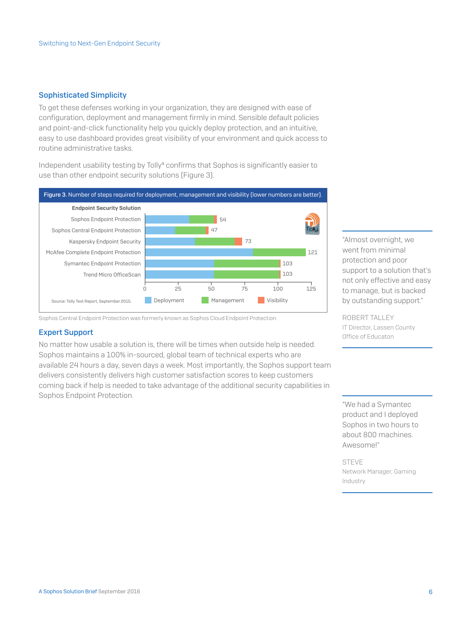## Sophisticated Simplicity

To get these defenses working in your organization, they are designed with ease of configuration, deployment and management firmly in mind. Sensible default policies and point-and-click functionality help you quickly deploy protection, and an intuitive, easy to use dashboard provides great visibility of your environment and quick access to routine administrative tasks.

Independent usability testing by Tolly<sup>4</sup> confirms that Sophos is significantly easier to use than other endpoint security solutions (Figure 3).



Sophos Central Endpoint Protection was formerly known as Sophos Cloud Endpoint Protection.

## Expert Support

No matter how usable a solution is, there will be times when outside help is needed. Sophos maintains a 100% in-sourced, global team of technical experts who are available 24 hours a day, seven days a week. Most importantly, the Sophos support team delivers consistently delivers high customer satisfaction scores to keep customers coming back if help is needed to take advantage of the additional security capabilities in Sophos Endpoint Protection.

"Almost overnight, we went from minimal protection and poor support to a solution that's not only effective and easy to manage, but is backed by outstanding support."

ROBERT TALLEY IT Director, Lassen County Office of Educaton

"We had a Symantec product and I deployed Sophos in two hours to about 800 machines. Awesome!"

STEVE Network Manager, Gaming Industry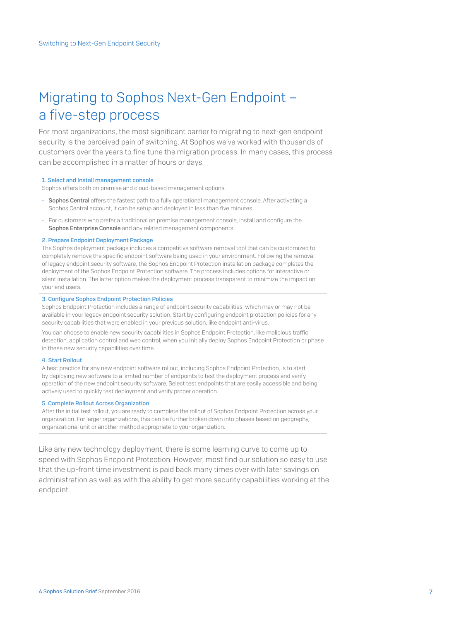# Migrating to Sophos Next-Gen Endpoint – a five-step process

For most organizations, the most significant barrier to migrating to next-gen endpoint security is the perceived pain of switching. At Sophos we've worked with thousands of customers over the years to fine tune the migration process. In many cases, this process can be accomplished in a matter of hours or days.

## 1. Select and Install management console

Sophos offers both on premise and cloud-based management options.

- Sophos Central offers the fastest path to a fully operational management console. After activating a Sophos Central account, it can be setup and deployed in less than five minutes.
- For customers who prefer a traditional on premise management console, install and configure the Sophos Enterprise Console and any related management components.

### 2. Prepare Endpoint Deployment Package

The Sophos deployment package includes a competitive software removal tool that can be customized to completely remove the specific endpoint software being used in your environment. Following the removal of legacy endpoint security software, the Sophos Endpoint Protection installation package completes the deployment of the Sophos Endpoint Protection software. The process includes options for interactive or silent installation. The latter option makes the deployment process transparent to minimize the impact on your end users.

#### 3. Configure Sophos Endpoint Protection Policies

Sophos Endpoint Protection includes a range of endpoint security capabilities, which may or may not be available in your legacy endpoint security solution. Start by configuring endpoint protection policies for any security capabilities that were enabled in your previous solution, like endpoint anti-virus.

You can choose to enable new security capabilities in Sophos Endpoint Protection, like malicious traffic detection, application control and web control, when you initially deploy Sophos Endpoint Protection or phase in these new security capabilities over time.

#### 4. Start Rollout

A best practice for any new endpoint software rollout, including Sophos Endpoint Protection, is to start by deploying new software to a limited number of endpoints to test the deployment process and verify operation of the new endpoint security software. Select test endpoints that are easily accessible and being actively used to quickly test deployment and verify proper operation.

## 5. Complete Rollout Across Organization

After the initial test rollout, you are ready to complete the rollout of Sophos Endpoint Protection across your organization. For larger organizations, this can be further broken down into phases based on geography, organizational unit or another method appropriate to your organization.

Like any new technology deployment, there is some learning curve to come up to speed with Sophos Endpoint Protection. However, most find our solution so easy to use that the up-front time investment is paid back many times over with later savings on administration as well as with the ability to get more security capabilities working at the endpoint.